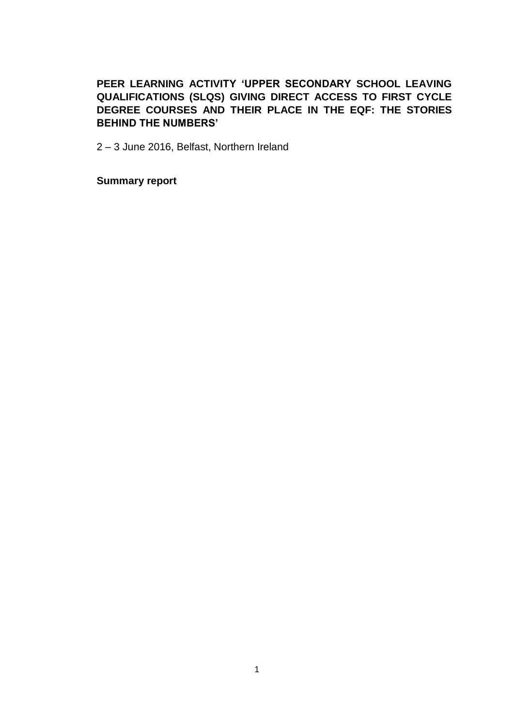# **PEER LEARNING ACTIVITY 'UPPER SECONDARY SCHOOL LEAVING QUALIFICATIONS (SLQS) GIVING DIRECT ACCESS TO FIRST CYCLE DEGREE COURSES AND THEIR PLACE IN THE EQF: THE STORIES BEHIND THE NUMBERS'**

2 – 3 June 2016, Belfast, Northern Ireland

**Summary report**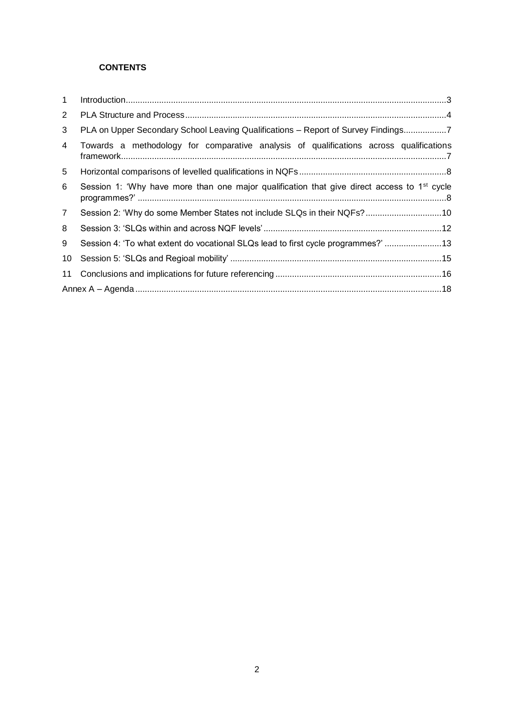# **CONTENTS**

| $\mathbf{1}$   |                                                                                                         |
|----------------|---------------------------------------------------------------------------------------------------------|
| $\overline{2}$ |                                                                                                         |
| 3              | PLA on Upper Secondary School Leaving Qualifications - Report of Survey Findings7                       |
| 4              | Towards a methodology for comparative analysis of qualifications across qualifications                  |
| 5              |                                                                                                         |
| 6              | Session 1: 'Why have more than one major qualification that give direct access to 1 <sup>st</sup> cycle |
| $7^{\circ}$    | Session 2: 'Why do some Member States not include SLQs in their NQFs?10                                 |
| 8              |                                                                                                         |
| 9              | Session 4: 'To what extent do vocational SLQs lead to first cycle programmes?'13                        |
| 10             |                                                                                                         |
| 11             |                                                                                                         |
|                |                                                                                                         |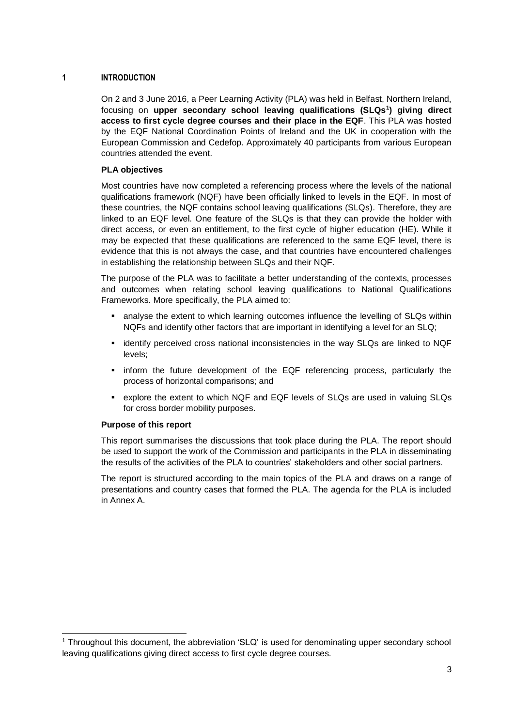# **1 INTRODUCTION**

On 2 and 3 June 2016, a Peer Learning Activity (PLA) was held in Belfast, Northern Ireland, focusing on **upper secondary school leaving qualifications (SLQs<sup>1</sup> ) giving direct access to first cycle degree courses and their place in the EQF**. This PLA was hosted by the EQF National Coordination Points of Ireland and the UK in cooperation with the European Commission and Cedefop. Approximately 40 participants from various European countries attended the event.

# **PLA objectives**

Most countries have now completed a referencing process where the levels of the national qualifications framework (NQF) have been officially linked to levels in the EQF. In most of these countries, the NQF contains school leaving qualifications (SLQs). Therefore, they are linked to an EQF level. One feature of the SLQs is that they can provide the holder with direct access, or even an entitlement, to the first cycle of higher education (HE). While it may be expected that these qualifications are referenced to the same EQF level, there is evidence that this is not always the case, and that countries have encountered challenges in establishing the relationship between SLQs and their NQF.

The purpose of the PLA was to facilitate a better understanding of the contexts, processes and outcomes when relating school leaving qualifications to National Qualifications Frameworks. More specifically, the PLA aimed to:

- analyse the extent to which learning outcomes influence the levelling of SLQs within NQFs and identify other factors that are important in identifying a level for an SLQ;
- identify perceived cross national inconsistencies in the way SLQs are linked to NQF levels;
- inform the future development of the EQF referencing process, particularly the process of horizontal comparisons; and
- explore the extent to which NQF and EQF levels of SLQs are used in valuing SLQs for cross border mobility purposes.

# **Purpose of this report**

1

This report summarises the discussions that took place during the PLA. The report should be used to support the work of the Commission and participants in the PLA in disseminating the results of the activities of the PLA to countries' stakeholders and other social partners.

The report is structured according to the main topics of the PLA and draws on a range of presentations and country cases that formed the PLA. The agenda for the PLA is included in Annex A.

<sup>1</sup> Throughout this document, the abbreviation 'SLQ' is used for denominating upper secondary school leaving qualifications giving direct access to first cycle degree courses.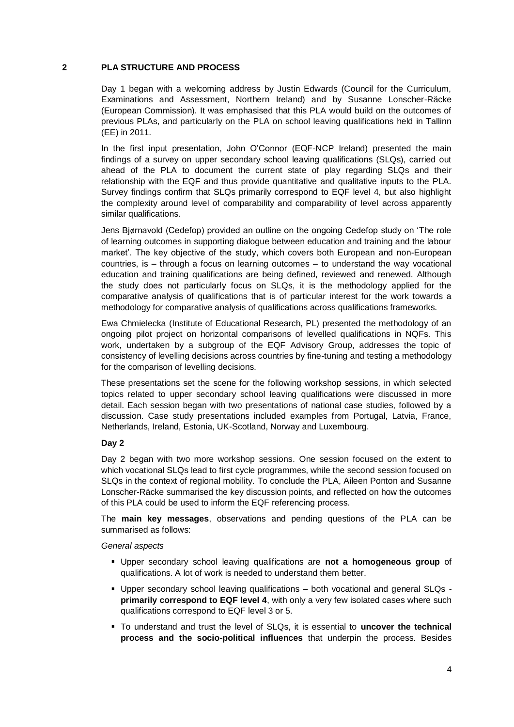# **2 PLA STRUCTURE AND PROCESS**

Day 1 began with a welcoming address by Justin Edwards (Council for the Curriculum, Examinations and Assessment, Northern Ireland) and by Susanne Lonscher-Räcke (European Commission). It was emphasised that this PLA would build on the outcomes of previous PLAs, and particularly on the PLA on school leaving qualifications held in Tallinn (EE) in 2011.

In the first input presentation, John O'Connor (EQF-NCP Ireland) presented the main findings of a survey on upper secondary school leaving qualifications (SLQs), carried out ahead of the PLA to document the current state of play regarding SLQs and their relationship with the EQF and thus provide quantitative and qualitative inputs to the PLA. Survey findings confirm that SLQs primarily correspond to EQF level 4, but also highlight the complexity around level of comparability and comparability of level across apparently similar qualifications.

Jens Bjørnavold (Cedefop) provided an outline on the ongoing Cedefop study on 'The role of learning outcomes in supporting dialogue between education and training and the labour market'. The key objective of the study, which covers both European and non-European countries, is – through a focus on learning outcomes – to understand the way vocational education and training qualifications are being defined, reviewed and renewed. Although the study does not particularly focus on SLQs, it is the methodology applied for the comparative analysis of qualifications that is of particular interest for the work towards a methodology for comparative analysis of qualifications across qualifications frameworks.

Ewa Chmielecka (Institute of Educational Research, PL) presented the methodology of an ongoing pilot project on horizontal comparisons of levelled qualifications in NQFs. This work, undertaken by a subgroup of the EQF Advisory Group, addresses the topic of consistency of levelling decisions across countries by fine-tuning and testing a methodology for the comparison of levelling decisions.

These presentations set the scene for the following workshop sessions, in which selected topics related to upper secondary school leaving qualifications were discussed in more detail. Each session began with two presentations of national case studies, followed by a discussion. Case study presentations included examples from Portugal, Latvia, France, Netherlands, Ireland, Estonia, UK-Scotland, Norway and Luxembourg.

# **Day 2**

Day 2 began with two more workshop sessions. One session focused on the extent to which vocational SLQs lead to first cycle programmes, while the second session focused on SLQs in the context of regional mobility. To conclude the PLA, Aileen Ponton and Susanne Lonscher-Räcke summarised the key discussion points, and reflected on how the outcomes of this PLA could be used to inform the EQF referencing process.

The **main key messages**, observations and pending questions of the PLA can be summarised as follows:

#### *General aspects*

- Upper secondary school leaving qualifications are **not a homogeneous group** of qualifications. A lot of work is needed to understand them better.
- Upper secondary school leaving qualifications both vocational and general SLQs **primarily correspond to EQF level 4**, with only a very few isolated cases where such qualifications correspond to EQF level 3 or 5.
- To understand and trust the level of SLQs, it is essential to **uncover the technical process and the socio-political influences** that underpin the process. Besides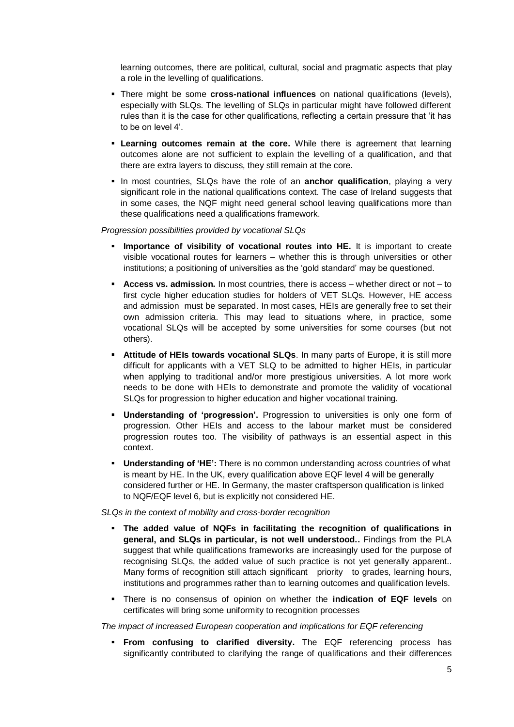learning outcomes, there are political, cultural, social and pragmatic aspects that play a role in the levelling of qualifications.

- There might be some **cross-national influences** on national qualifications (levels), especially with SLQs. The levelling of SLQs in particular might have followed different rules than it is the case for other qualifications, reflecting a certain pressure that 'it has to be on level 4'.
- **Examing outcomes remain at the core.** While there is agreement that learning outcomes alone are not sufficient to explain the levelling of a qualification, and that there are extra layers to discuss, they still remain at the core.
- In most countries, SLQs have the role of an **anchor qualification**, playing a very significant role in the national qualifications context. The case of Ireland suggests that in some cases, the NQF might need general school leaving qualifications more than these qualifications need a qualifications framework.

#### *Progression possibilities provided by vocational SLQs*

- **Importance of visibility of vocational routes into HE.** It is important to create visible vocational routes for learners – whether this is through universities or other institutions; a positioning of universities as the 'gold standard' may be questioned.
- **Access vs. admission.** In most countries, there is access whether direct or not to first cycle higher education studies for holders of VET SLQs. However, HE access and admission must be separated. In most cases, HEIs are generally free to set their own admission criteria. This may lead to situations where, in practice, some vocational SLQs will be accepted by some universities for some courses (but not others).
- **EXTENT Attitude of HEIs towards vocational SLQs.** In many parts of Europe, it is still more difficult for applicants with a VET SLQ to be admitted to higher HEIs, in particular when applying to traditional and/or more prestigious universities. A lot more work needs to be done with HEIs to demonstrate and promote the validity of vocational SLQs for progression to higher education and higher vocational training.
- **Understanding of 'progression'.** Progression to universities is only one form of progression. Other HEIs and access to the labour market must be considered progression routes too. The visibility of pathways is an essential aspect in this context.
- **Understanding of 'HE':** There is no common understanding across countries of what is meant by HE. In the UK, every qualification above EQF level 4 will be generally considered further or HE. In Germany, the master craftsperson qualification is linked to NQF/EQF level 6, but is explicitly not considered HE.

*SLQs in the context of mobility and cross-border recognition*

- **The added value of NQFs in facilitating the recognition of qualifications in general, and SLQs in particular, is not well understood..** Findings from the PLA suggest that while qualifications frameworks are increasingly used for the purpose of recognising SLQs, the added value of such practice is not yet generally apparent.. Many forms of recognition still attach significant priority to grades, learning hours, institutions and programmes rather than to learning outcomes and qualification levels.
- There is no consensus of opinion on whether the **indication of EQF levels** on certificates will bring some uniformity to recognition processes

*The impact of increased European cooperation and implications for EQF referencing*

▪ **From confusing to clarified diversity.** The EQF referencing process has significantly contributed to clarifying the range of qualifications and their differences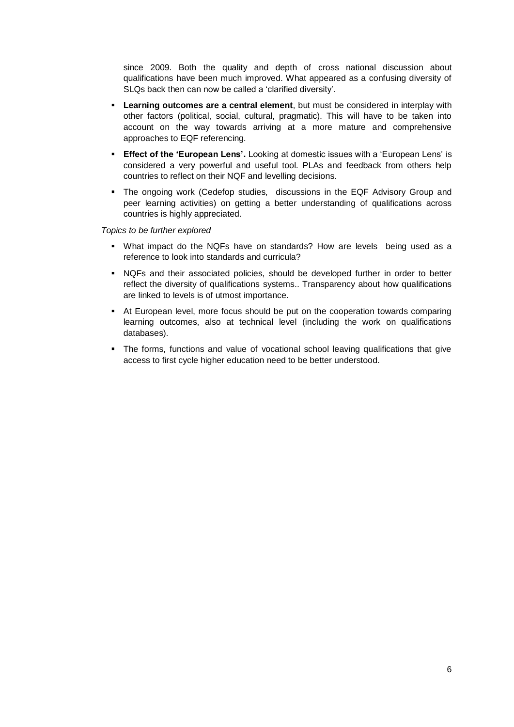since 2009. Both the quality and depth of cross national discussion about qualifications have been much improved. What appeared as a confusing diversity of SLQs back then can now be called a 'clarified diversity'.

- **EXECTE 1.5 In the Learning outcomes are a central element**, but must be considered in interplay with other factors (political, social, cultural, pragmatic). This will have to be taken into account on the way towards arriving at a more mature and comprehensive approaches to EQF referencing.
- **Effect of the 'European Lens'.** Looking at domestic issues with a 'European Lens' is considered a very powerful and useful tool. PLAs and feedback from others help countries to reflect on their NQF and levelling decisions.
- **•** The ongoing work (Cedefop studies, discussions in the EQF Advisory Group and peer learning activities) on getting a better understanding of qualifications across countries is highly appreciated.

*Topics to be further explored*

- What impact do the NQFs have on standards? How are levels being used as a reference to look into standards and curricula?
- NQFs and their associated policies, should be developed further in order to better reflect the diversity of qualifications systems.. Transparency about how qualifications are linked to levels is of utmost importance.
- At European level, more focus should be put on the cooperation towards comparing learning outcomes, also at technical level (including the work on qualifications databases).
- **•** The forms, functions and value of vocational school leaving qualifications that give access to first cycle higher education need to be better understood.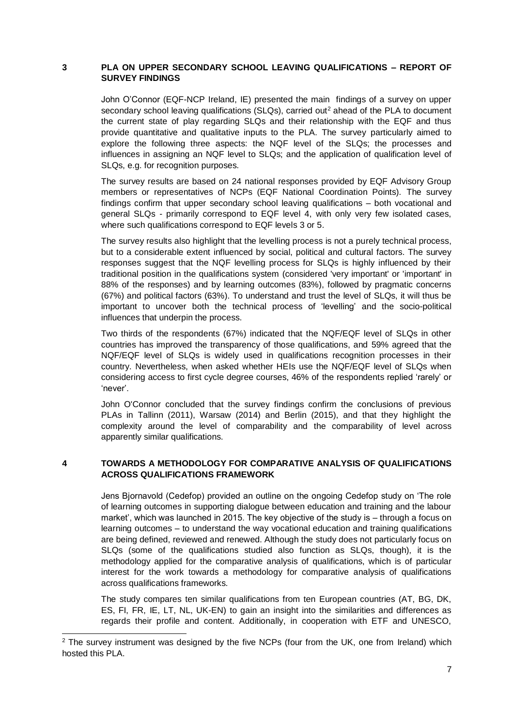### **3 PLA ON UPPER SECONDARY SCHOOL LEAVING QUALIFICATIONS – REPORT OF SURVEY FINDINGS**

John O'Connor (EQF-NCP Ireland, IE) presented the main findings of a survey on upper secondary school leaving qualifications (SLQs), carried out<sup>2</sup> ahead of the PLA to document the current state of play regarding SLQs and their relationship with the EQF and thus provide quantitative and qualitative inputs to the PLA. The survey particularly aimed to explore the following three aspects: the NQF level of the SLQs; the processes and influences in assigning an NQF level to SLQs; and the application of qualification level of SLQs, e.g. for recognition purposes.

The survey results are based on 24 national responses provided by EQF Advisory Group members or representatives of NCPs (EQF National Coordination Points). The survey findings confirm that upper secondary school leaving qualifications – both vocational and general SLQs - primarily correspond to EQF level 4, with only very few isolated cases, where such qualifications correspond to EQF levels 3 or 5.

The survey results also highlight that the levelling process is not a purely technical process, but to a considerable extent influenced by social, political and cultural factors. The survey responses suggest that the NQF levelling process for SLQs is highly influenced by their traditional position in the qualifications system (considered 'very important' or 'important' in 88% of the responses) and by learning outcomes (83%), followed by pragmatic concerns (67%) and political factors (63%). To understand and trust the level of SLQs, it will thus be important to uncover both the technical process of 'levelling' and the socio-political influences that underpin the process.

Two thirds of the respondents (67%) indicated that the NQF/EQF level of SLQs in other countries has improved the transparency of those qualifications, and 59% agreed that the NQF/EQF level of SLQs is widely used in qualifications recognition processes in their country. Nevertheless, when asked whether HEIs use the NQF/EQF level of SLQs when considering access to first cycle degree courses, 46% of the respondents replied 'rarely' or 'never'.

John O'Connor concluded that the survey findings confirm the conclusions of previous PLAs in Tallinn (2011), Warsaw (2014) and Berlin (2015), and that they highlight the complexity around the level of comparability and the comparability of level across apparently similar qualifications.

# **4 TOWARDS A METHODOLOGY FOR COMPARATIVE ANALYSIS OF QUALIFICATIONS ACROSS QUALIFICATIONS FRAMEWORK**

Jens Bjornavold (Cedefop) provided an outline on the ongoing Cedefop study on 'The role of learning outcomes in supporting dialogue between education and training and the labour market', which was launched in 2015. The key objective of the study is – through a focus on learning outcomes – to understand the way vocational education and training qualifications are being defined, reviewed and renewed. Although the study does not particularly focus on SLQs (some of the qualifications studied also function as SLQs, though), it is the methodology applied for the comparative analysis of qualifications, which is of particular interest for the work towards a methodology for comparative analysis of qualifications across qualifications frameworks.

The study compares ten similar qualifications from ten European countries (AT, BG, DK, ES, FI, FR, IE, LT, NL, UK-EN) to gain an insight into the similarities and differences as regards their profile and content. Additionally, in cooperation with ETF and UNESCO,

1

<sup>&</sup>lt;sup>2</sup> The survey instrument was designed by the five NCPs (four from the UK, one from Ireland) which hosted this PLA.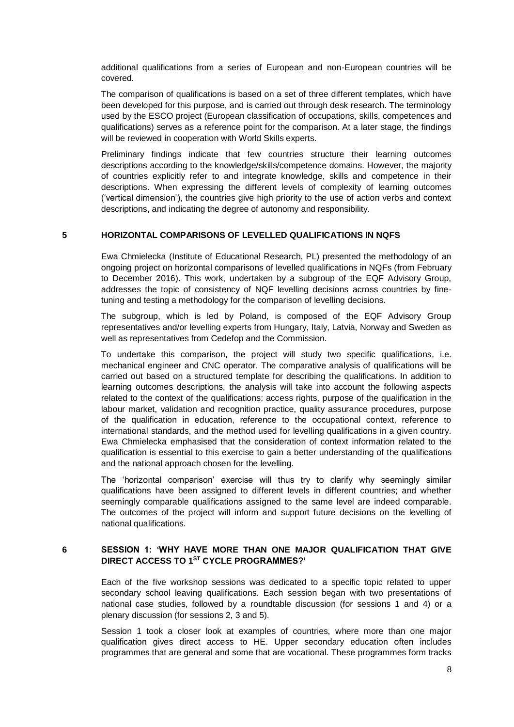additional qualifications from a series of European and non-European countries will be covered.

The comparison of qualifications is based on a set of three different templates, which have been developed for this purpose, and is carried out through desk research. The terminology used by the ESCO project (European classification of occupations, skills, competences and qualifications) serves as a reference point for the comparison. At a later stage, the findings will be reviewed in cooperation with World Skills experts.

Preliminary findings indicate that few countries structure their learning outcomes descriptions according to the knowledge/skills/competence domains. However, the majority of countries explicitly refer to and integrate knowledge, skills and competence in their descriptions. When expressing the different levels of complexity of learning outcomes ('vertical dimension'), the countries give high priority to the use of action verbs and context descriptions, and indicating the degree of autonomy and responsibility.

#### **5 HORIZONTAL COMPARISONS OF LEVELLED QUALIFICATIONS IN NQFS**

Ewa Chmielecka (Institute of Educational Research, PL) presented the methodology of an ongoing project on horizontal comparisons of levelled qualifications in NQFs (from February to December 2016). This work, undertaken by a subgroup of the EQF Advisory Group, addresses the topic of consistency of NQF levelling decisions across countries by finetuning and testing a methodology for the comparison of levelling decisions.

The subgroup, which is led by Poland, is composed of the EQF Advisory Group representatives and/or levelling experts from Hungary, Italy, Latvia, Norway and Sweden as well as representatives from Cedefop and the Commission.

To undertake this comparison, the project will study two specific qualifications, i.e. mechanical engineer and CNC operator. The comparative analysis of qualifications will be carried out based on a structured template for describing the qualifications. In addition to learning outcomes descriptions, the analysis will take into account the following aspects related to the context of the qualifications: access rights, purpose of the qualification in the labour market, validation and recognition practice, quality assurance procedures, purpose of the qualification in education, reference to the occupational context, reference to international standards, and the method used for levelling qualifications in a given country. Ewa Chmielecka emphasised that the consideration of context information related to the qualification is essential to this exercise to gain a better understanding of the qualifications and the national approach chosen for the levelling.

The 'horizontal comparison' exercise will thus try to clarify why seemingly similar qualifications have been assigned to different levels in different countries; and whether seemingly comparable qualifications assigned to the same level are indeed comparable. The outcomes of the project will inform and support future decisions on the levelling of national qualifications.

### **6 SESSION 1: 'WHY HAVE MORE THAN ONE MAJOR QUALIFICATION THAT GIVE DIRECT ACCESS TO 1ST CYCLE PROGRAMMES?'**

Each of the five workshop sessions was dedicated to a specific topic related to upper secondary school leaving qualifications. Each session began with two presentations of national case studies, followed by a roundtable discussion (for sessions 1 and 4) or a plenary discussion (for sessions 2, 3 and 5).

Session 1 took a closer look at examples of countries, where more than one major qualification gives direct access to HE. Upper secondary education often includes programmes that are general and some that are vocational. These programmes form tracks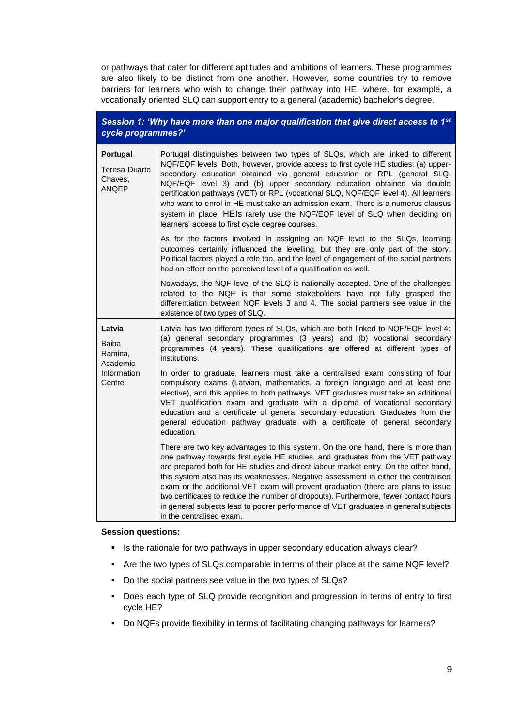or pathways that cater for different aptitudes and ambitions of learners. These programmes are also likely to be distinct from one another. However, some countries try to remove barriers for learners who wish to change their pathway into HE, where, for example, a vocationally oriented SLQ can support entry to a general (academic) bachelor's degree.

| Session 1: 'Why have more than one major qualification that give direct access to 1 <sup>st</sup><br>cycle programmes?' |                                                                                                                                                                                                                                                                                                                                                                                                                                                                                                                                                                                                                                                 |  |
|-------------------------------------------------------------------------------------------------------------------------|-------------------------------------------------------------------------------------------------------------------------------------------------------------------------------------------------------------------------------------------------------------------------------------------------------------------------------------------------------------------------------------------------------------------------------------------------------------------------------------------------------------------------------------------------------------------------------------------------------------------------------------------------|--|
| Portugal<br>Teresa Duarte<br>Chaves,<br><b>ANQEP</b>                                                                    | Portugal distinguishes between two types of SLQs, which are linked to different<br>NQF/EQF levels. Both, however, provide access to first cycle HE studies: (a) upper-<br>secondary education obtained via general education or RPL (general SLQ,<br>NQF/EQF level 3) and (b) upper secondary education obtained via double<br>certification pathways (VET) or RPL (vocational SLQ, NQF/EQF level 4). All learners<br>who want to enrol in HE must take an admission exam. There is a numerus clausus<br>system in place. HEIs rarely use the NQF/EQF level of SLQ when deciding on<br>learners' access to first cycle degree courses.          |  |
|                                                                                                                         | As for the factors involved in assigning an NQF level to the SLQs, learning<br>outcomes certainly influenced the levelling, but they are only part of the story.<br>Political factors played a role too, and the level of engagement of the social partners<br>had an effect on the perceived level of a qualification as well.                                                                                                                                                                                                                                                                                                                 |  |
|                                                                                                                         | Nowadays, the NQF level of the SLQ is nationally accepted. One of the challenges<br>related to the NQF is that some stakeholders have not fully grasped the<br>differentiation between NQF levels 3 and 4. The social partners see value in the<br>existence of two types of SLQ.                                                                                                                                                                                                                                                                                                                                                               |  |
| Latvia<br><b>Baiba</b><br>Ramina,<br>Academic                                                                           | Latvia has two different types of SLQs, which are both linked to NQF/EQF level 4:<br>(a) general secondary programmes (3 years) and (b) vocational secondary<br>programmes (4 years). These qualifications are offered at different types of<br>institutions.                                                                                                                                                                                                                                                                                                                                                                                   |  |
| Information<br>Centre                                                                                                   | In order to graduate, learners must take a centralised exam consisting of four<br>compulsory exams (Latvian, mathematics, a foreign language and at least one<br>elective), and this applies to both pathways. VET graduates must take an additional<br>VET qualification exam and graduate with a diploma of vocational secondary<br>education and a certificate of general secondary education. Graduates from the<br>general education pathway graduate with a certificate of general secondary<br>education.                                                                                                                                |  |
|                                                                                                                         | There are two key advantages to this system. On the one hand, there is more than<br>one pathway towards first cycle HE studies, and graduates from the VET pathway<br>are prepared both for HE studies and direct labour market entry. On the other hand,<br>this system also has its weaknesses. Negative assessment in either the centralised<br>exam or the additional VET exam will prevent graduation (there are plans to issue<br>two certificates to reduce the number of dropouts). Furthermore, fewer contact hours<br>in general subjects lead to poorer performance of VET graduates in general subjects<br>in the centralised exam. |  |

#### **Session questions:**

- Is the rationale for two pathways in upper secondary education always clear?
- Are the two types of SLQs comparable in terms of their place at the same NQF level?
- Do the social partners see value in the two types of SLQs?
- Does each type of SLQ provide recognition and progression in terms of entry to first cycle HE?
- Do NQFs provide flexibility in terms of facilitating changing pathways for learners?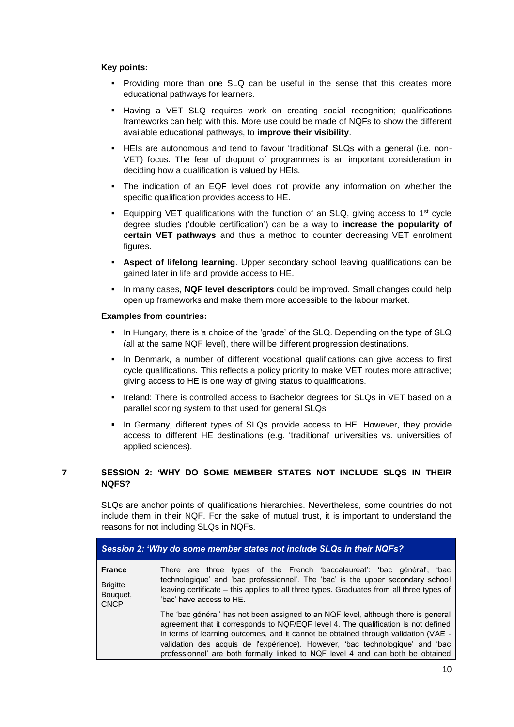### **Key points:**

- Providing more than one SLQ can be useful in the sense that this creates more educational pathways for learners.
- Having a VET SLQ requires work on creating social recognition; qualifications frameworks can help with this. More use could be made of NQFs to show the different available educational pathways, to **improve their visibility**.
- HEIs are autonomous and tend to favour 'traditional' SLQs with a general (i.e. non-VET) focus. The fear of dropout of programmes is an important consideration in deciding how a qualification is valued by HEIs.
- The indication of an EQF level does not provide any information on whether the specific qualification provides access to HE.
- Equipping VET qualifications with the function of an SLQ, giving access to 1<sup>st</sup> cycle degree studies ('double certification') can be a way to **increase the popularity of certain VET pathways** and thus a method to counter decreasing VET enrolment figures.
- **EXEDECT Aspect of lifelong learning**. Upper secondary school leaving qualifications can be gained later in life and provide access to HE.
- In many cases, **NQF level descriptors** could be improved. Small changes could help open up frameworks and make them more accessible to the labour market.

#### **Examples from countries:**

- In Hungary, there is a choice of the 'grade' of the SLQ. Depending on the type of SLQ (all at the same NQF level), there will be different progression destinations.
- In Denmark, a number of different vocational qualifications can give access to first cycle qualifications. This reflects a policy priority to make VET routes more attractive; giving access to HE is one way of giving status to qualifications.
- Ireland: There is controlled access to Bachelor degrees for SLQs in VET based on a parallel scoring system to that used for general SLQs
- In Germany, different types of SLQs provide access to HE. However, they provide access to different HE destinations (e.g. 'traditional' universities vs. universities of applied sciences).

# **7 SESSION 2: 'WHY DO SOME MEMBER STATES NOT INCLUDE SLQS IN THEIR NQFS?**

SLQs are anchor points of qualifications hierarchies. Nevertheless, some countries do not include them in their NQF. For the sake of mutual trust, it is important to understand the reasons for not including SLQs in NQFs.

| Session 2: 'Why do some member states not include SLQs in their NQFs? |                                                                                                                                                                                                                                                                                                                                                                                                                                    |  |
|-----------------------------------------------------------------------|------------------------------------------------------------------------------------------------------------------------------------------------------------------------------------------------------------------------------------------------------------------------------------------------------------------------------------------------------------------------------------------------------------------------------------|--|
| <b>France</b><br><b>Brigitte</b><br>Bouquet,<br><b>CNCP</b>           | There are three types of the French 'baccalauréat': 'bac général', 'bac<br>technologique' and 'bac professionnel'. The 'bac' is the upper secondary school<br>leaving certificate – this applies to all three types. Graduates from all three types of<br>'bac' have access to HE.                                                                                                                                                 |  |
|                                                                       | The 'bac général' has not been assigned to an NQF level, although there is general<br>agreement that it corresponds to NQF/EQF level 4. The qualification is not defined<br>in terms of learning outcomes, and it cannot be obtained through validation (VAE -<br>validation des acquis de l'expérience). However, 'bac technologique' and 'bac<br>professionnel' are both formally linked to NQF level 4 and can both be obtained |  |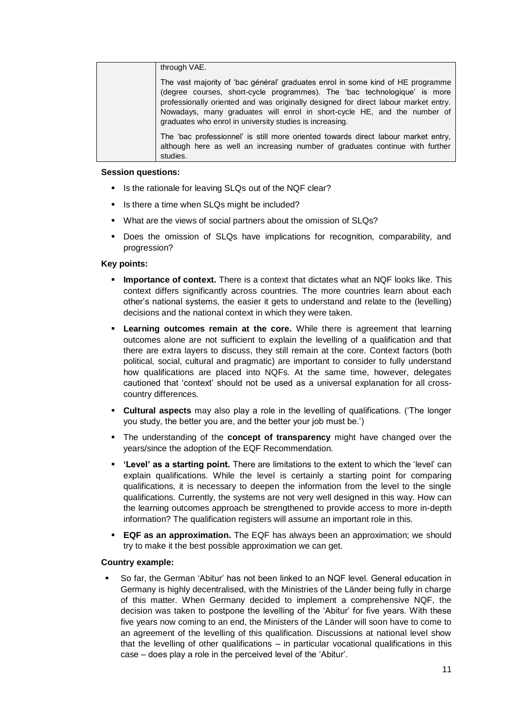| through VAE.                                                                                                                                                                                                                                                                                                                                                                                |
|---------------------------------------------------------------------------------------------------------------------------------------------------------------------------------------------------------------------------------------------------------------------------------------------------------------------------------------------------------------------------------------------|
| The vast majority of 'bac général' graduates enrol in some kind of HE programme<br>(degree courses, short-cycle programmes). The 'bac technologique' is more<br>professionally oriented and was originally designed for direct labour market entry.<br>Nowadays, many graduates will enrol in short-cycle HE, and the number of<br>graduates who enrol in university studies is increasing. |
| The 'bac professionnel' is still more oriented towards direct labour market entry,<br>although here as well an increasing number of graduates continue with further<br>studies.                                                                                                                                                                                                             |

#### **Session questions:**

- Is the rationale for leaving SLQs out of the NQF clear?
- Is there a time when SLQs might be included?
- What are the views of social partners about the omission of SLQs?
- Does the omission of SLQs have implications for recognition, comparability, and progression?

# **Key points:**

- **EXTERN** Importance of context. There is a context that dictates what an NQF looks like. This context differs significantly across countries. The more countries learn about each other's national systems, the easier it gets to understand and relate to the (levelling) decisions and the national context in which they were taken.
- **Example 1** Learning outcomes remain at the core. While there is agreement that learning outcomes alone are not sufficient to explain the levelling of a qualification and that there are extra layers to discuss, they still remain at the core. Context factors (both political, social, cultural and pragmatic) are important to consider to fully understand how qualifications are placed into NQFs. At the same time, however, delegates cautioned that 'context' should not be used as a universal explanation for all crosscountry differences.
- **Cultural aspects** may also play a role in the levelling of qualifications. ('The longer you study, the better you are, and the better your job must be.')
- The understanding of the **concept of transparency** might have changed over the years/since the adoption of the EQF Recommendation.
- **'Level' as a starting point.** There are limitations to the extent to which the 'level' can explain qualifications. While the level is certainly a starting point for comparing qualifications, it is necessary to deepen the information from the level to the single qualifications. Currently, the systems are not very well designed in this way. How can the learning outcomes approach be strengthened to provide access to more in-depth information? The qualification registers will assume an important role in this.
- **EQF as an approximation.** The EQF has always been an approximation; we should try to make it the best possible approximation we can get.

# **Country example:**

So far, the German 'Abitur' has not been linked to an NQF level. General education in Germany is highly decentralised, with the Ministries of the Länder being fully in charge of this matter. When Germany decided to implement a comprehensive NQF, the decision was taken to postpone the levelling of the 'Abitur' for five years. With these five years now coming to an end, the Ministers of the Länder will soon have to come to an agreement of the levelling of this qualification. Discussions at national level show that the levelling of other qualifications – in particular vocational qualifications in this case – does play a role in the perceived level of the 'Abitur'.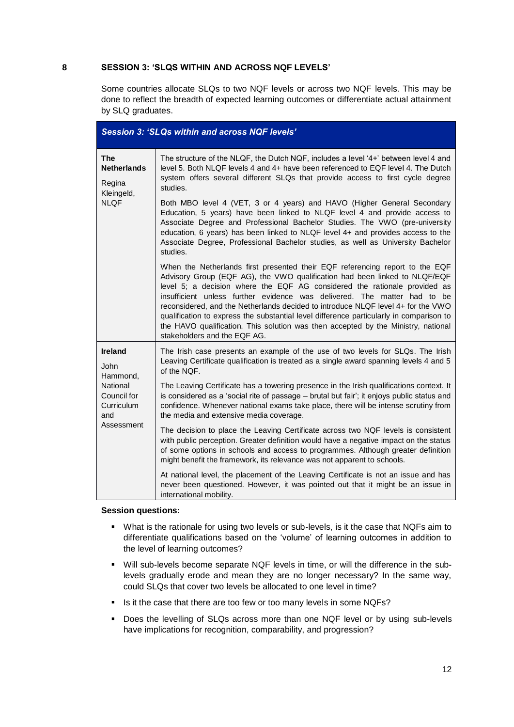### **8 SESSION 3: 'SLQS WITHIN AND ACROSS NQF LEVELS'**

Some countries allocate SLQs to two NQF levels or across two NQF levels. This may be done to reflect the breadth of expected learning outcomes or differentiate actual attainment by SLQ graduates.

| <b>Session 3: 'SLQs within and across NQF levels'</b> |                                                                                                                                                                                                                                                                                                                                                                                                                                                                                                                                                                                                                         |  |
|-------------------------------------------------------|-------------------------------------------------------------------------------------------------------------------------------------------------------------------------------------------------------------------------------------------------------------------------------------------------------------------------------------------------------------------------------------------------------------------------------------------------------------------------------------------------------------------------------------------------------------------------------------------------------------------------|--|
| The<br><b>Netherlands</b><br>Regina<br>Kleingeld,     | The structure of the NLQF, the Dutch NQF, includes a level '4+' between level 4 and<br>level 5. Both NLQF levels 4 and 4+ have been referenced to EQF level 4. The Dutch<br>system offers several different SLQs that provide access to first cycle degree<br>studies.                                                                                                                                                                                                                                                                                                                                                  |  |
| <b>NLQF</b>                                           | Both MBO level 4 (VET, 3 or 4 years) and HAVO (Higher General Secondary<br>Education, 5 years) have been linked to NLQF level 4 and provide access to<br>Associate Degree and Professional Bachelor Studies. The VWO (pre-university<br>education, 6 years) has been linked to NLQF level 4+ and provides access to the<br>Associate Degree, Professional Bachelor studies, as well as University Bachelor<br>studies.                                                                                                                                                                                                  |  |
|                                                       | When the Netherlands first presented their EQF referencing report to the EQF<br>Advisory Group (EQF AG), the VWO qualification had been linked to NLQF/EQF<br>level 5; a decision where the EQF AG considered the rationale provided as<br>insufficient unless further evidence was delivered. The matter had to be<br>reconsidered, and the Netherlands decided to introduce NLQF level 4+ for the VWO<br>qualification to express the substantial level difference particularly in comparison to<br>the HAVO qualification. This solution was then accepted by the Ministry, national<br>stakeholders and the EQF AG. |  |
| <b>Ireland</b><br>John<br>Hammond,                    | The Irish case presents an example of the use of two levels for SLQs. The Irish<br>Leaving Certificate qualification is treated as a single award spanning levels 4 and 5<br>of the NQF.                                                                                                                                                                                                                                                                                                                                                                                                                                |  |
| National<br>Council for<br>Curriculum<br>and          | The Leaving Certificate has a towering presence in the Irish qualifications context. It<br>is considered as a 'social rite of passage - brutal but fair'; it enjoys public status and<br>confidence. Whenever national exams take place, there will be intense scrutiny from<br>the media and extensive media coverage.                                                                                                                                                                                                                                                                                                 |  |
| Assessment                                            | The decision to place the Leaving Certificate across two NQF levels is consistent<br>with public perception. Greater definition would have a negative impact on the status<br>of some options in schools and access to programmes. Although greater definition<br>might benefit the framework, its relevance was not apparent to schools.                                                                                                                                                                                                                                                                               |  |
|                                                       | At national level, the placement of the Leaving Certificate is not an issue and has<br>never been questioned. However, it was pointed out that it might be an issue in<br>international mobility.                                                                                                                                                                                                                                                                                                                                                                                                                       |  |

#### **Session questions:**

- What is the rationale for using two levels or sub-levels, is it the case that NQFs aim to differentiate qualifications based on the 'volume' of learning outcomes in addition to the level of learning outcomes?
- Will sub-levels become separate NQF levels in time, or will the difference in the sublevels gradually erode and mean they are no longer necessary? In the same way, could SLQs that cover two levels be allocated to one level in time?
- Is it the case that there are too few or too many levels in some NQFs?
- Does the levelling of SLQs across more than one NQF level or by using sub-levels have implications for recognition, comparability, and progression?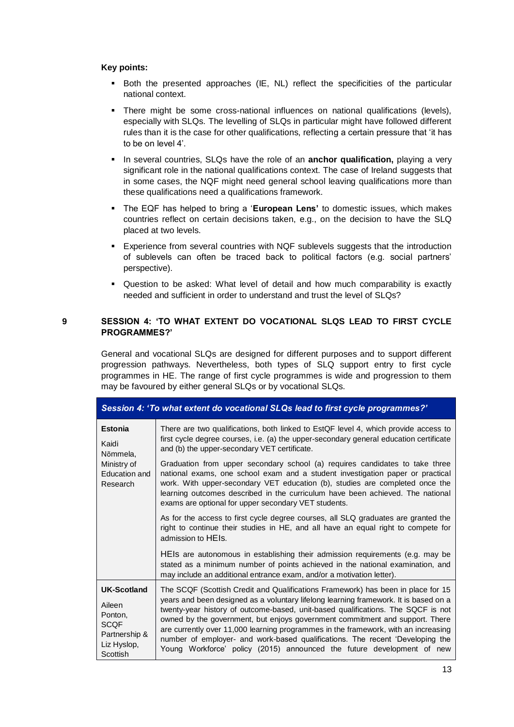#### **Key points:**

- Both the presented approaches (IE, NL) reflect the specificities of the particular national context.
- There might be some cross-national influences on national qualifications (levels), especially with SLQs. The levelling of SLQs in particular might have followed different rules than it is the case for other qualifications, reflecting a certain pressure that 'it has to be on level 4'.
- **.** In several countries, SLQs have the role of an **anchor qualification**, playing a very significant role in the national qualifications context. The case of Ireland suggests that in some cases, the NQF might need general school leaving qualifications more than these qualifications need a qualifications framework.
- The EQF has helped to bring a '**European Lens'** to domestic issues, which makes countries reflect on certain decisions taken, e.g., on the decision to have the SLQ placed at two levels.
- **Experience from several countries with NQF sublevels suggests that the introduction** of sublevels can often be traced back to political factors (e.g. social partners' perspective).
- Question to be asked: What level of detail and how much comparability is exactly needed and sufficient in order to understand and trust the level of SLQs?

# **9 SESSION 4: 'TO WHAT EXTENT DO VOCATIONAL SLQS LEAD TO FIRST CYCLE PROGRAMMES?'**

General and vocational SLQs are designed for different purposes and to support different progression pathways. Nevertheless, both types of SLQ support entry to first cycle programmes in HE. The range of first cycle programmes is wide and progression to them may be favoured by either general SLQs or by vocational SLQs.

| Session 4: 'To what extent do vocational SLQs lead to first cycle programmes?'                     |                                                                                                                                                                                                                                                                                                                                                                                                                                                                                                                                                                                               |  |
|----------------------------------------------------------------------------------------------------|-----------------------------------------------------------------------------------------------------------------------------------------------------------------------------------------------------------------------------------------------------------------------------------------------------------------------------------------------------------------------------------------------------------------------------------------------------------------------------------------------------------------------------------------------------------------------------------------------|--|
| <b>Estonia</b><br>Kaidi<br>Nõmmela,                                                                | There are two qualifications, both linked to EstQF level 4, which provide access to<br>first cycle degree courses, i.e. (a) the upper-secondary general education certificate<br>and (b) the upper-secondary VET certificate.                                                                                                                                                                                                                                                                                                                                                                 |  |
| Ministry of<br>Education and<br>Research                                                           | Graduation from upper secondary school (a) requires candidates to take three<br>national exams, one school exam and a student investigation paper or practical<br>work. With upper-secondary VET education (b), studies are completed once the<br>learning outcomes described in the curriculum have been achieved. The national<br>exams are optional for upper secondary VET students.                                                                                                                                                                                                      |  |
|                                                                                                    | As for the access to first cycle degree courses, all SLQ graduates are granted the<br>right to continue their studies in HE, and all have an equal right to compete for<br>admission to HEIs.                                                                                                                                                                                                                                                                                                                                                                                                 |  |
|                                                                                                    | HEIs are autonomous in establishing their admission requirements (e.g. may be<br>stated as a minimum number of points achieved in the national examination, and<br>may include an additional entrance exam, and/or a motivation letter).                                                                                                                                                                                                                                                                                                                                                      |  |
| <b>UK-Scotland</b><br>Aileen<br>Ponton,<br><b>SCOF</b><br>Partnership &<br>Liz Hyslop,<br>Scottish | The SCQF (Scottish Credit and Qualifications Framework) has been in place for 15<br>years and been designed as a voluntary lifelong learning framework. It is based on a<br>twenty-year history of outcome-based, unit-based qualifications. The SQCF is not<br>owned by the government, but enjoys government commitment and support. There<br>are currently over 11,000 learning programmes in the framework, with an increasing<br>number of employer- and work-based qualifications. The recent 'Developing the<br>Young Workforce' policy (2015) announced the future development of new |  |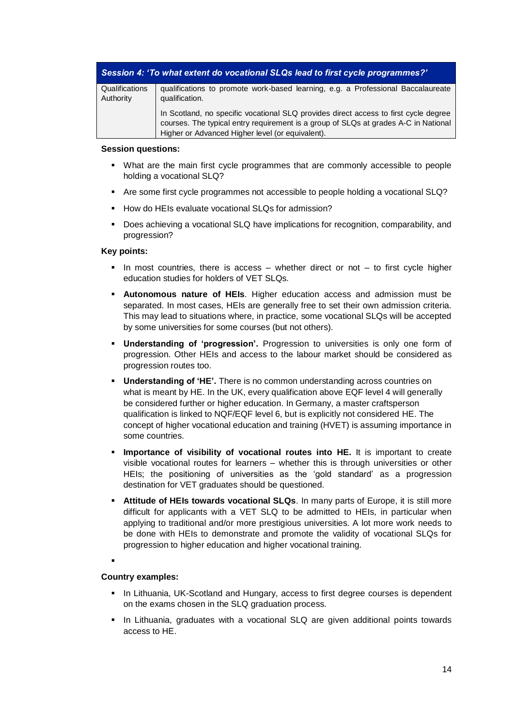| Session 4: 'To what extent do vocational SLQs lead to first cycle programmes?' |                                                                                                                                                                             |
|--------------------------------------------------------------------------------|-----------------------------------------------------------------------------------------------------------------------------------------------------------------------------|
| Qualifications                                                                 | qualifications to promote work-based learning, e.g. a Professional Baccalaureate                                                                                            |
| Authority                                                                      | qualification.                                                                                                                                                              |
|                                                                                | In Scotland, no specific vocational SLQ provides direct access to first cycle degree<br>courses. The typical entry requirement is a group of SLQs at grades A-C in National |
|                                                                                | Higher or Advanced Higher level (or equivalent).                                                                                                                            |

### **Session questions:**

- What are the main first cycle programmes that are commonly accessible to people holding a vocational SLQ?
- Are some first cycle programmes not accessible to people holding a vocational SLQ?
- How do HEIs evaluate vocational SLQs for admission?
- Does achieving a vocational SLQ have implications for recognition, comparability, and progression?

# **Key points:**

- $\blacksquare$  In most countries, there is access whether direct or not to first cycle higher education studies for holders of VET SLQs.
- **EXEDENOMOUS nature of HEIs.** Higher education access and admission must be separated. In most cases, HEIs are generally free to set their own admission criteria. This may lead to situations where, in practice, some vocational SLQs will be accepted by some universities for some courses (but not others).
- **Understanding of 'progression'.** Progression to universities is only one form of progression. Other HEIs and access to the labour market should be considered as progression routes too.
- **Understanding of 'HE'.** There is no common understanding across countries on what is meant by HE. In the UK, every qualification above EQF level 4 will generally be considered further or higher education. In Germany, a master craftsperson qualification is linked to NQF/EQF level 6, but is explicitly not considered HE. The concept of higher vocational education and training (HVET) is assuming importance in some countries.
- **.** Importance of visibility of vocational routes into HE. It is important to create visible vocational routes for learners – whether this is through universities or other HEIs; the positioning of universities as the 'gold standard' as a progression destination for VET graduates should be questioned.
- **EXTENGE OF THE IS towards vocational SLQs.** In many parts of Europe, it is still more difficult for applicants with a VET SLQ to be admitted to HEIs, in particular when applying to traditional and/or more prestigious universities. A lot more work needs to be done with HEIs to demonstrate and promote the validity of vocational SLQs for progression to higher education and higher vocational training.
- ▪

# **Country examples:**

- **. In Lithuania, UK-Scotland and Hungary, access to first degree courses is dependent** on the exams chosen in the SLQ graduation process.
- In Lithuania, graduates with a vocational SLQ are given additional points towards access to HE.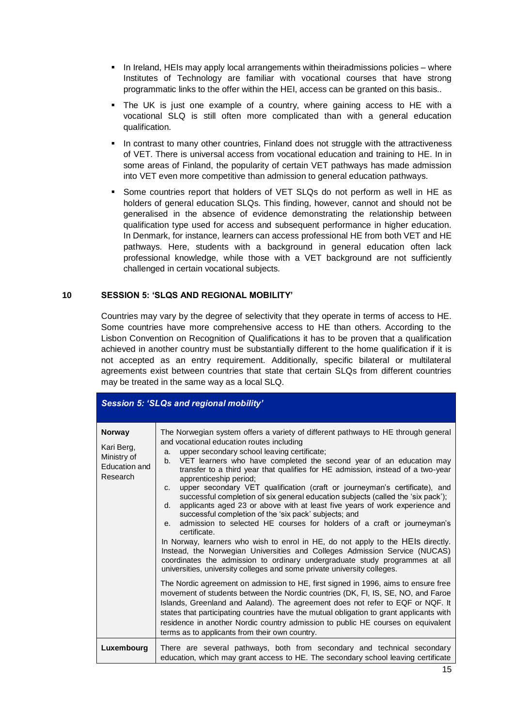- In Ireland, HEIs may apply local arrangements within theiradmissions policies where Institutes of Technology are familiar with vocational courses that have strong programmatic links to the offer within the HEI, access can be granted on this basis..
- **•** The UK is just one example of a country, where gaining access to HE with a vocational SLQ is still often more complicated than with a general education qualification.
- **.** In contrast to many other countries, Finland does not struggle with the attractiveness of VET. There is universal access from vocational education and training to HE. In in some areas of Finland, the popularity of certain VET pathways has made admission into VET even more competitive than admission to general education pathways.
- Some countries report that holders of VET SLQs do not perform as well in HE as holders of general education SLQs. This finding, however, cannot and should not be generalised in the absence of evidence demonstrating the relationship between qualification type used for access and subsequent performance in higher education. In Denmark, for instance, learners can access professional HE from both VET and HE pathways. Here, students with a background in general education often lack professional knowledge, while those with a VET background are not sufficiently challenged in certain vocational subjects.

### **10 SESSION 5: 'SLQS AND REGIONAL MOBILITY'**

Countries may vary by the degree of selectivity that they operate in terms of access to HE. Some countries have more comprehensive access to HE than others. According to the Lisbon Convention on Recognition of Qualifications it has to be proven that a qualification achieved in another country must be substantially different to the home qualification if it is not accepted as an entry requirement. Additionally, specific bilateral or multilateral agreements exist between countries that state that certain SLQs from different countries may be treated in the same way as a local SLQ.

| <b>Session 5: 'SLQs and regional mobility'</b>                          |                                                                                                                                                                                                                                                                                                                                                                                                                                                                                                                                                                                                                                                                                                                                                                                                                                                                                                                                                                                                                                                                                                                                                                                                                                                                                                                                                                                                                                                                                                                                                                                                                                          |  |
|-------------------------------------------------------------------------|------------------------------------------------------------------------------------------------------------------------------------------------------------------------------------------------------------------------------------------------------------------------------------------------------------------------------------------------------------------------------------------------------------------------------------------------------------------------------------------------------------------------------------------------------------------------------------------------------------------------------------------------------------------------------------------------------------------------------------------------------------------------------------------------------------------------------------------------------------------------------------------------------------------------------------------------------------------------------------------------------------------------------------------------------------------------------------------------------------------------------------------------------------------------------------------------------------------------------------------------------------------------------------------------------------------------------------------------------------------------------------------------------------------------------------------------------------------------------------------------------------------------------------------------------------------------------------------------------------------------------------------|--|
| <b>Norway</b><br>Kari Berg,<br>Ministry of<br>Education and<br>Research | The Norwegian system offers a variety of different pathways to HE through general<br>and vocational education routes including<br>upper secondary school leaving certificate;<br>a.<br>VET learners who have completed the second year of an education may<br>b.<br>transfer to a third year that qualifies for HE admission, instead of a two-year<br>apprenticeship period;<br>upper secondary VET qualification (craft or journeyman's certificate), and<br>C <sub>1</sub><br>successful completion of six general education subjects (called the 'six pack');<br>applicants aged 23 or above with at least five years of work experience and<br>d.<br>successful completion of the 'six pack' subjects; and<br>admission to selected HE courses for holders of a craft or journeyman's<br>e.<br>certificate.<br>In Norway, learners who wish to enrol in HE, do not apply to the HEIs directly.<br>Instead, the Norwegian Universities and Colleges Admission Service (NUCAS)<br>coordinates the admission to ordinary undergraduate study programmes at all<br>universities, university colleges and some private university colleges.<br>The Nordic agreement on admission to HE, first signed in 1996, aims to ensure free<br>movement of students between the Nordic countries (DK, FI, IS, SE, NO, and Faroe<br>Islands, Greenland and Aaland). The agreement does not refer to EQF or NQF. It<br>states that participating countries have the mutual obligation to grant applicants with<br>residence in another Nordic country admission to public HE courses on equivalent<br>terms as to applicants from their own country. |  |
| Luxembourg                                                              | There are several pathways, both from secondary and technical secondary<br>education, which may grant access to HE. The secondary school leaving certificate                                                                                                                                                                                                                                                                                                                                                                                                                                                                                                                                                                                                                                                                                                                                                                                                                                                                                                                                                                                                                                                                                                                                                                                                                                                                                                                                                                                                                                                                             |  |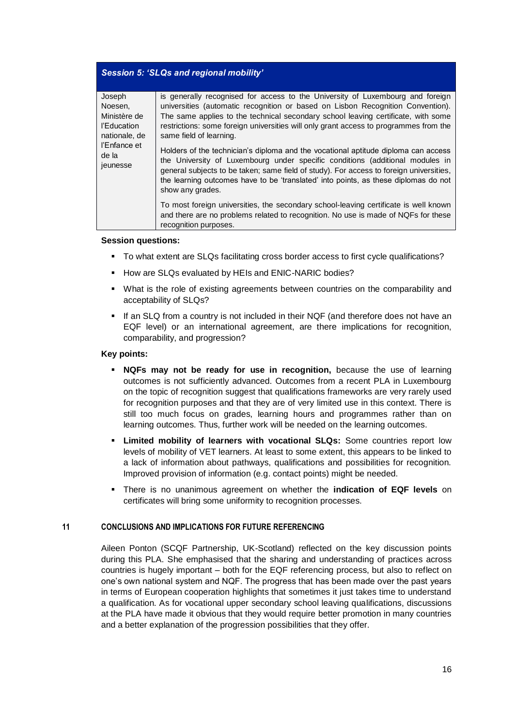# *Session 5: 'SLQs and regional mobility'*

| Joseph<br>Noesen,<br>Ministère de<br>l'Education<br>nationale, de<br>l'Enfance et<br>de la<br>jeunesse | is generally recognised for access to the University of Luxembourg and foreign<br>universities (automatic recognition or based on Lisbon Recognition Convention).<br>The same applies to the technical secondary school leaving certificate, with some<br>restrictions: some foreign universities will only grant access to programmes from the<br>same field of learning.<br>Holders of the technician's diploma and the vocational aptitude diploma can access<br>the University of Luxembourg under specific conditions (additional modules in<br>general subjects to be taken; same field of study). For access to foreign universities,<br>the learning outcomes have to be 'translated' into points, as these diplomas do not<br>show any grades. |
|--------------------------------------------------------------------------------------------------------|---------------------------------------------------------------------------------------------------------------------------------------------------------------------------------------------------------------------------------------------------------------------------------------------------------------------------------------------------------------------------------------------------------------------------------------------------------------------------------------------------------------------------------------------------------------------------------------------------------------------------------------------------------------------------------------------------------------------------------------------------------|
|                                                                                                        | To most foreign universities, the secondary school-leaving certificate is well known<br>and there are no problems related to recognition. No use is made of NQFs for these<br>recognition purposes.                                                                                                                                                                                                                                                                                                                                                                                                                                                                                                                                                     |

#### **Session questions:**

- To what extent are SLQs facilitating cross border access to first cycle qualifications?
- How are SLQs evaluated by HEIs and ENIC-NARIC bodies?
- What is the role of existing agreements between countries on the comparability and acceptability of SLQs?
- **.** If an SLQ from a country is not included in their NQF (and therefore does not have an EQF level) or an international agreement, are there implications for recognition, comparability, and progression?

#### **Key points:**

- **EXEX MATE:** NQFs may not be ready for use in recognition, because the use of learning outcomes is not sufficiently advanced. Outcomes from a recent PLA in Luxembourg on the topic of recognition suggest that qualifications frameworks are very rarely used for recognition purposes and that they are of very limited use in this context. There is still too much focus on grades, learning hours and programmes rather than on learning outcomes. Thus, further work will be needed on the learning outcomes.
- **Limited mobility of learners with vocational SLQs:** Some countries report low levels of mobility of VET learners. At least to some extent, this appears to be linked to a lack of information about pathways, qualifications and possibilities for recognition. Improved provision of information (e.g. contact points) might be needed.
- There is no unanimous agreement on whether the **indication of EQF levels** on certificates will bring some uniformity to recognition processes.

#### **11 CONCLUSIONS AND IMPLICATIONS FOR FUTURE REFERENCING**

Aileen Ponton (SCQF Partnership, UK-Scotland) reflected on the key discussion points during this PLA. She emphasised that the sharing and understanding of practices across countries is hugely important – both for the EQF referencing process, but also to reflect on one's own national system and NQF. The progress that has been made over the past years in terms of European cooperation highlights that sometimes it just takes time to understand a qualification. As for vocational upper secondary school leaving qualifications, discussions at the PLA have made it obvious that they would require better promotion in many countries and a better explanation of the progression possibilities that they offer.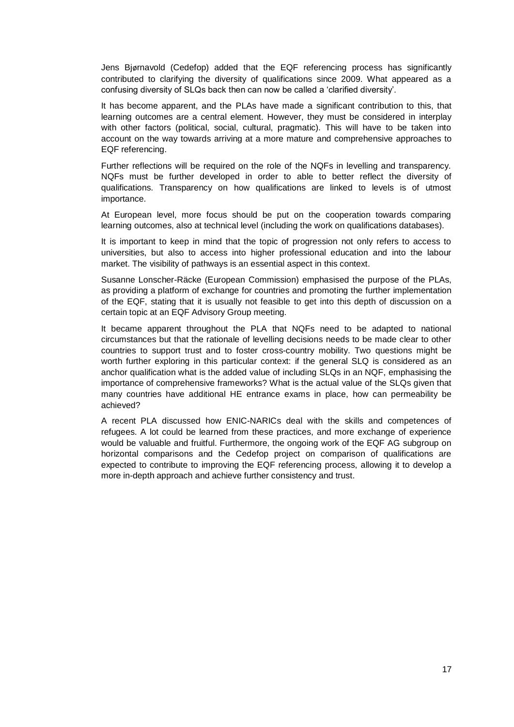Jens Bjørnavold (Cedefop) added that the EQF referencing process has significantly contributed to clarifying the diversity of qualifications since 2009. What appeared as a confusing diversity of SLQs back then can now be called a 'clarified diversity'.

It has become apparent, and the PLAs have made a significant contribution to this, that learning outcomes are a central element. However, they must be considered in interplay with other factors (political, social, cultural, pragmatic). This will have to be taken into account on the way towards arriving at a more mature and comprehensive approaches to EQF referencing.

Further reflections will be required on the role of the NQFs in levelling and transparency. NQFs must be further developed in order to able to better reflect the diversity of qualifications. Transparency on how qualifications are linked to levels is of utmost importance.

At European level, more focus should be put on the cooperation towards comparing learning outcomes, also at technical level (including the work on qualifications databases).

It is important to keep in mind that the topic of progression not only refers to access to universities, but also to access into higher professional education and into the labour market. The visibility of pathways is an essential aspect in this context.

Susanne Lonscher-Räcke (European Commission) emphasised the purpose of the PLAs, as providing a platform of exchange for countries and promoting the further implementation of the EQF, stating that it is usually not feasible to get into this depth of discussion on a certain topic at an EQF Advisory Group meeting.

It became apparent throughout the PLA that NQFs need to be adapted to national circumstances but that the rationale of levelling decisions needs to be made clear to other countries to support trust and to foster cross-country mobility. Two questions might be worth further exploring in this particular context: if the general SLQ is considered as an anchor qualification what is the added value of including SLQs in an NQF, emphasising the importance of comprehensive frameworks? What is the actual value of the SLQs given that many countries have additional HE entrance exams in place, how can permeability be achieved?

A recent PLA discussed how ENIC-NARICs deal with the skills and competences of refugees. A lot could be learned from these practices, and more exchange of experience would be valuable and fruitful. Furthermore, the ongoing work of the EQF AG subgroup on horizontal comparisons and the Cedefop project on comparison of qualifications are expected to contribute to improving the EQF referencing process, allowing it to develop a more in-depth approach and achieve further consistency and trust.